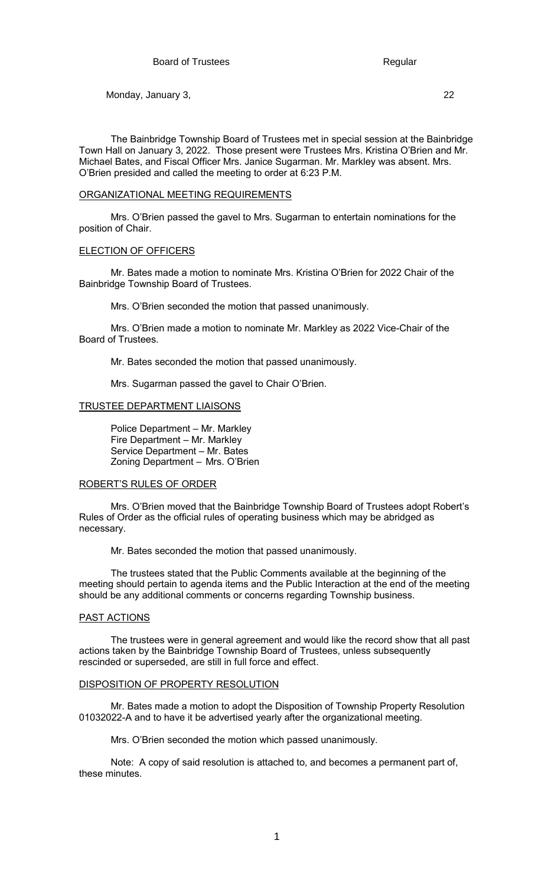The Bainbridge Township Board of Trustees met in special session at the Bainbridge Town Hall on January 3, 2022. Those present were Trustees Mrs. Kristina O'Brien and Mr. Michael Bates, and Fiscal Officer Mrs. Janice Sugarman. Mr. Markley was absent. Mrs. O'Brien presided and called the meeting to order at 6:23 P.M.

#### ORGANIZATIONAL MEETING REQUIREMENTS

Mrs. O'Brien passed the gavel to Mrs. Sugarman to entertain nominations for the position of Chair.

#### ELECTION OF OFFICERS

Mr. Bates made a motion to nominate Mrs. Kristina O'Brien for 2022 Chair of the Bainbridge Township Board of Trustees.

Mrs. O'Brien seconded the motion that passed unanimously.

Mrs. O'Brien made a motion to nominate Mr. Markley as 2022 Vice-Chair of the Board of Trustees.

Mr. Bates seconded the motion that passed unanimously.

Mrs. Sugarman passed the gavel to Chair O'Brien.

#### TRUSTEE DEPARTMENT LIAISONS

Police Department – Mr. Markley Fire Department – Mr. Markley Service Department – Mr. Bates Zoning Department – Mrs. O'Brien

#### ROBERT'S RULES OF ORDER

Mrs. O'Brien moved that the Bainbridge Township Board of Trustees adopt Robert's Rules of Order as the official rules of operating business which may be abridged as necessary.

Mr. Bates seconded the motion that passed unanimously.

The trustees stated that the Public Comments available at the beginning of the meeting should pertain to agenda items and the Public Interaction at the end of the meeting should be any additional comments or concerns regarding Township business.

#### PAST ACTIONS

The trustees were in general agreement and would like the record show that all past actions taken by the Bainbridge Township Board of Trustees, unless subsequently rescinded or superseded, are still in full force and effect.

#### DISPOSITION OF PROPERTY RESOLUTION

Mr. Bates made a motion to adopt the Disposition of Township Property Resolution 01032022-A and to have it be advertised yearly after the organizational meeting.

Mrs. O'Brien seconded the motion which passed unanimously.

Note: A copy of said resolution is attached to, and becomes a permanent part of, these minutes.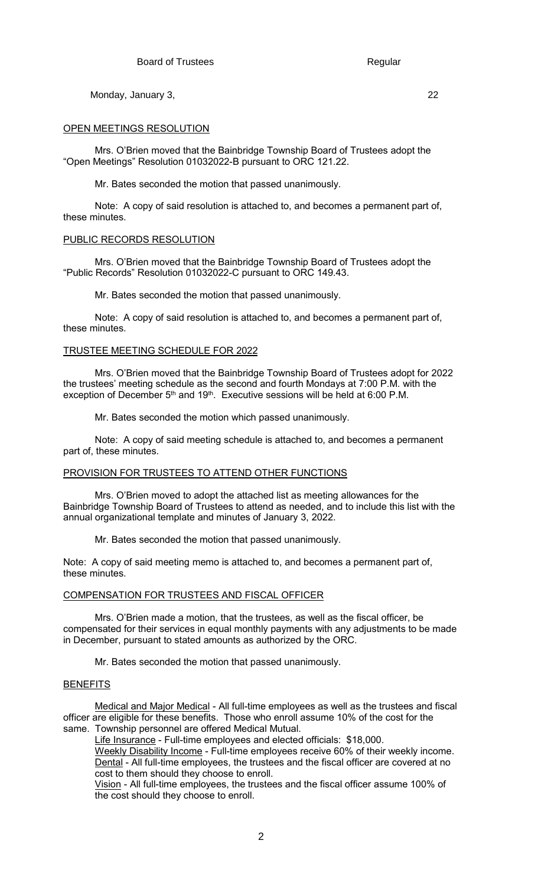#### OPEN MEETINGS RESOLUTION

Mrs. O'Brien moved that the Bainbridge Township Board of Trustees adopt the "Open Meetings" Resolution 01032022-B pursuant to ORC 121.22.

Mr. Bates seconded the motion that passed unanimously.

Note: A copy of said resolution is attached to, and becomes a permanent part of, these minutes.

#### PUBLIC RECORDS RESOLUTION

Mrs. O'Brien moved that the Bainbridge Township Board of Trustees adopt the "Public Records" Resolution 01032022-C pursuant to ORC 149.43.

Mr. Bates seconded the motion that passed unanimously.

Note: A copy of said resolution is attached to, and becomes a permanent part of, these minutes.

#### TRUSTEE MEETING SCHEDULE FOR 2022

Mrs. O'Brien moved that the Bainbridge Township Board of Trustees adopt for 2022 the trustees' meeting schedule as the second and fourth Mondays at 7:00 P.M. with the exception of December  $5<sup>th</sup>$  and 19<sup>th</sup>. Executive sessions will be held at 6:00 P.M.

Mr. Bates seconded the motion which passed unanimously.

Note: A copy of said meeting schedule is attached to, and becomes a permanent part of, these minutes.

#### PROVISION FOR TRUSTEES TO ATTEND OTHER FUNCTIONS

Mrs. O'Brien moved to adopt the attached list as meeting allowances for the Bainbridge Township Board of Trustees to attend as needed, and to include this list with the annual organizational template and minutes of January 3, 2022.

Mr. Bates seconded the motion that passed unanimously.

Note: A copy of said meeting memo is attached to, and becomes a permanent part of, these minutes.

## COMPENSATION FOR TRUSTEES AND FISCAL OFFICER

Mrs. O'Brien made a motion, that the trustees, as well as the fiscal officer, be compensated for their services in equal monthly payments with any adjustments to be made in December, pursuant to stated amounts as authorized by the ORC.

Mr. Bates seconded the motion that passed unanimously.

#### **BENEFITS**

Medical and Major Medical - All full-time employees as well as the trustees and fiscal officer are eligible for these benefits. Those who enroll assume 10% of the cost for the same. Township personnel are offered Medical Mutual.

Life Insurance - Full-time employees and elected officials: \$18,000.

Weekly Disability Income - Full-time employees receive 60% of their weekly income. Dental - All full-time employees, the trustees and the fiscal officer are covered at no cost to them should they choose to enroll.

Vision - All full-time employees, the trustees and the fiscal officer assume 100% of the cost should they choose to enroll.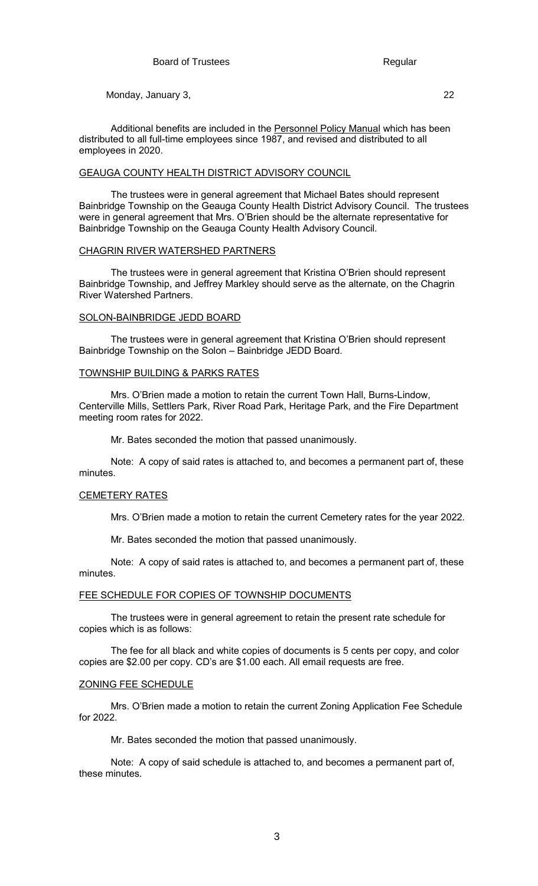Additional benefits are included in the Personnel Policy Manual which has been distributed to all full-time employees since 1987, and revised and distributed to all employees in 2020.

#### GEAUGA COUNTY HEALTH DISTRICT ADVISORY COUNCIL

The trustees were in general agreement that Michael Bates should represent Bainbridge Township on the Geauga County Health District Advisory Council. The trustees were in general agreement that Mrs. O'Brien should be the alternate representative for Bainbridge Township on the Geauga County Health Advisory Council.

#### CHAGRIN RIVER WATERSHED PARTNERS

The trustees were in general agreement that Kristina O'Brien should represent Bainbridge Township, and Jeffrey Markley should serve as the alternate, on the Chagrin River Watershed Partners.

### SOLON-BAINBRIDGE JEDD BOARD

The trustees were in general agreement that Kristina O'Brien should represent Bainbridge Township on the Solon – Bainbridge JEDD Board.

#### TOWNSHIP BUILDING & PARKS RATES

Mrs. O'Brien made a motion to retain the current Town Hall, Burns-Lindow, Centerville Mills, Settlers Park, River Road Park, Heritage Park, and the Fire Department meeting room rates for 2022.

Mr. Bates seconded the motion that passed unanimously.

Note: A copy of said rates is attached to, and becomes a permanent part of, these minutes.

#### CEMETERY RATES

Mrs. O'Brien made a motion to retain the current Cemetery rates for the year 2022.

Mr. Bates seconded the motion that passed unanimously.

Note: A copy of said rates is attached to, and becomes a permanent part of, these minutes.

## FEE SCHEDULE FOR COPIES OF TOWNSHIP DOCUMENTS

The trustees were in general agreement to retain the present rate schedule for copies which is as follows:

The fee for all black and white copies of documents is 5 cents per copy, and color copies are \$2.00 per copy. CD's are \$1.00 each. All email requests are free.

## ZONING FEE SCHEDULE

Mrs. O'Brien made a motion to retain the current Zoning Application Fee Schedule for 2022.

Mr. Bates seconded the motion that passed unanimously.

Note: A copy of said schedule is attached to, and becomes a permanent part of, these minutes.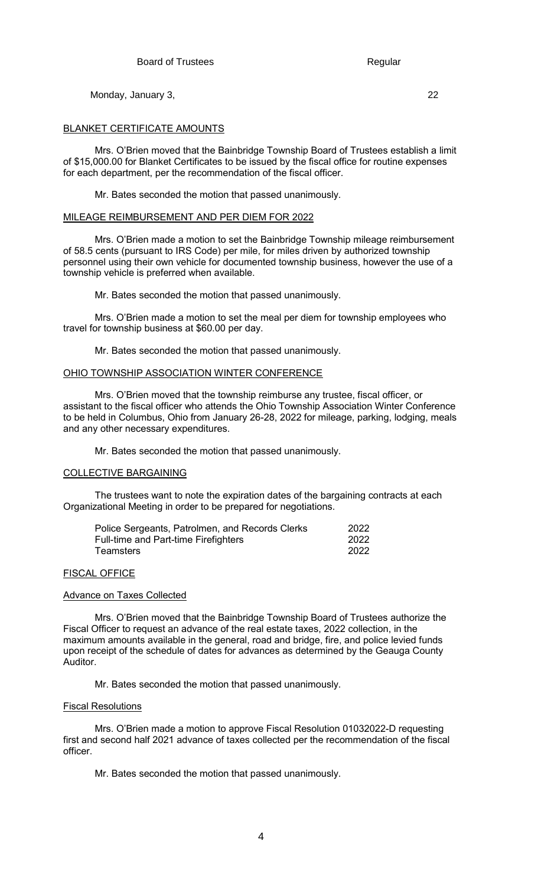## BLANKET CERTIFICATE AMOUNTS

Mrs. O'Brien moved that the Bainbridge Township Board of Trustees establish a limit of \$15,000.00 for Blanket Certificates to be issued by the fiscal office for routine expenses for each department, per the recommendation of the fiscal officer.

Mr. Bates seconded the motion that passed unanimously.

### MILEAGE REIMBURSEMENT AND PER DIEM FOR 2022

Mrs. O'Brien made a motion to set the Bainbridge Township mileage reimbursement of 58.5 cents (pursuant to IRS Code) per mile, for miles driven by authorized township personnel using their own vehicle for documented township business, however the use of a township vehicle is preferred when available.

Mr. Bates seconded the motion that passed unanimously.

Mrs. O'Brien made a motion to set the meal per diem for township employees who travel for township business at \$60.00 per day.

Mr. Bates seconded the motion that passed unanimously.

#### OHIO TOWNSHIP ASSOCIATION WINTER CONFERENCE

Mrs. O'Brien moved that the township reimburse any trustee, fiscal officer, or assistant to the fiscal officer who attends the Ohio Township Association Winter Conference to be held in Columbus, Ohio from January 26-28, 2022 for mileage, parking, lodging, meals and any other necessary expenditures.

Mr. Bates seconded the motion that passed unanimously.

## COLLECTIVE BARGAINING

The trustees want to note the expiration dates of the bargaining contracts at each Organizational Meeting in order to be prepared for negotiations.

| Police Sergeants, Patrolmen, and Records Clerks | 2022 |
|-------------------------------------------------|------|
| Full-time and Part-time Firefighters            | 2022 |
| Teamsters                                       | 2022 |

## FISCAL OFFICE

#### Advance on Taxes Collected

Mrs. O'Brien moved that the Bainbridge Township Board of Trustees authorize the Fiscal Officer to request an advance of the real estate taxes, 2022 collection, in the maximum amounts available in the general, road and bridge, fire, and police levied funds upon receipt of the schedule of dates for advances as determined by the Geauga County Auditor.

Mr. Bates seconded the motion that passed unanimously.

#### Fiscal Resolutions

Mrs. O'Brien made a motion to approve Fiscal Resolution 01032022-D requesting first and second half 2021 advance of taxes collected per the recommendation of the fiscal officer.

Mr. Bates seconded the motion that passed unanimously.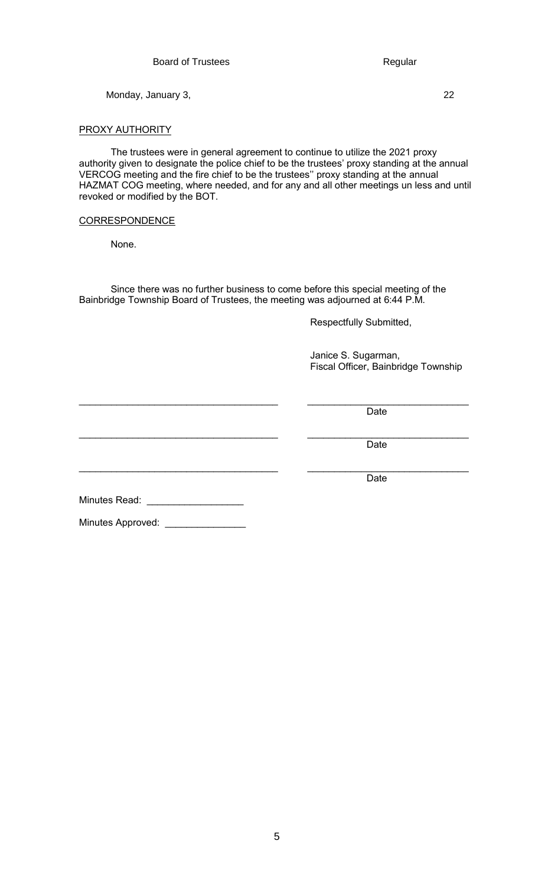PROXY AUTHORITY

The trustees were in general agreement to continue to utilize the 2021 proxy authority given to designate the police chief to be the trustees' proxy standing at the annual VERCOG meeting and the fire chief to be the trustees'' proxy standing at the annual HAZMAT COG meeting, where needed, and for any and all other meetings un less and until revoked or modified by the BOT.

#### **CORRESPONDENCE**

None.

Since there was no further business to come before this special meeting of the Bainbridge Township Board of Trustees, the meeting was adjourned at 6:44 P.M.

Respectfully Submitted,

 Janice S. Sugarman, Fiscal Officer, Bainbridge Township

\_\_\_\_\_\_\_\_\_\_\_\_\_\_\_\_\_\_\_\_\_\_\_\_\_\_\_\_\_\_\_\_\_\_\_\_\_ \_\_\_\_\_\_\_\_\_\_\_\_\_\_\_\_\_\_\_\_\_\_\_\_\_\_\_\_\_\_ <u>Date and the contract of the contract of the contract of the contract of the contract of the contract of the con</u>

\_\_\_\_\_\_\_\_\_\_\_\_\_\_\_\_\_\_\_\_\_\_\_\_\_\_\_\_\_\_\_\_\_\_\_\_\_ \_\_\_\_\_\_\_\_\_\_\_\_\_\_\_\_\_\_\_\_\_\_\_\_\_\_\_\_\_\_ discussion of the contract of the contract of the contract of the Date of the Date

\_\_\_\_\_\_\_\_\_\_\_\_\_\_\_\_\_\_\_\_\_\_\_\_\_\_\_\_\_\_\_\_\_\_\_\_\_ \_\_\_\_\_\_\_\_\_\_\_\_\_\_\_\_\_\_\_\_\_\_\_\_\_\_\_\_\_\_ discussion of the contract of the contract of the contract of the Date of the Date

| Minutes Read: |  |
|---------------|--|
|               |  |

5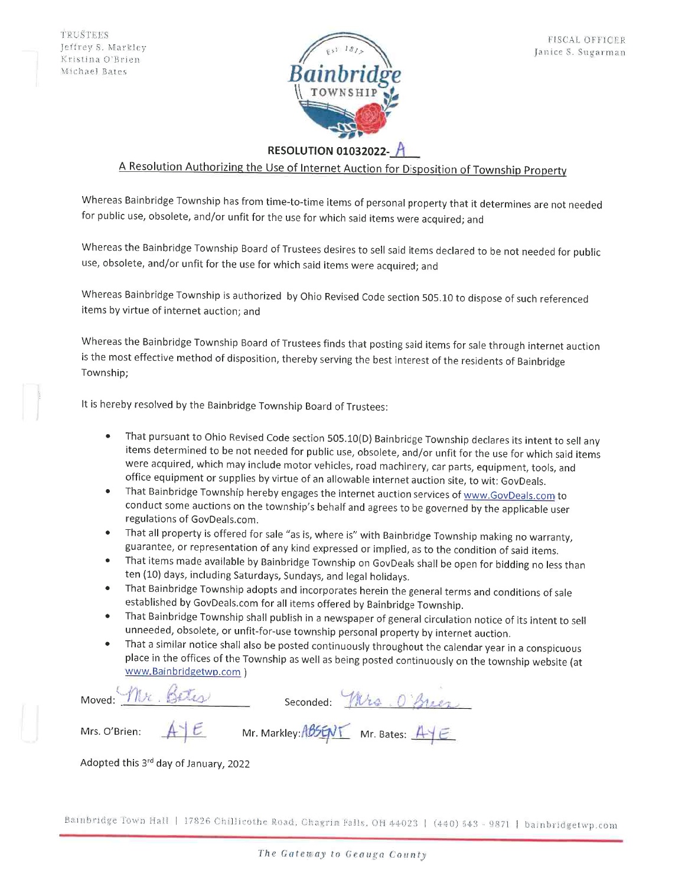

#### **RESOLUTION 01032022-**

## A Resolution Authorizing the Use of Internet Auction for Disposition of Township Property

Whereas Bainbridge Township has from time-to-time items of personal property that it determines are not needed for public use, obsolete, and/or unfit for the use for which said items were acquired; and

Whereas the Bainbridge Township Board of Trustees desires to sell said items declared to be not needed for public use, obsolete, and/or unfit for the use for which said items were acquired; and

Whereas Bainbridge Township is authorized by Ohio Revised Code section 505.10 to dispose of such referenced items by virtue of internet auction; and

Whereas the Bainbridge Township Board of Trustees finds that posting said items for sale through internet auction is the most effective method of disposition, thereby serving the best interest of the residents of Bainbridge Township:

It is hereby resolved by the Bainbridge Township Board of Trustees:

- That pursuant to Ohio Revised Code section 505.10(D) Bainbridge Township declares its intent to sell any  $\bullet$ items determined to be not needed for public use, obsolete, and/or unfit for the use for which said items were acquired, which may include motor vehicles, road machinery, car parts, equipment, tools, and office equipment or supplies by virtue of an allowable internet auction site, to wit: GovDeals.
- That Bainbridge Township hereby engages the internet auction services of www.GovDeals.com to  $\bullet$ conduct some auctions on the township's behalf and agrees to be governed by the applicable user regulations of GovDeals.com.
- That all property is offered for sale "as is, where is" with Bainbridge Township making no warranty,  $\bullet$ guarantee, or representation of any kind expressed or implied, as to the condition of said items.
- That items made available by Bainbridge Township on GovDeals shall be open for bidding no less than  $\bullet$ ten (10) days, including Saturdays, Sundays, and legal holidays.
- That Bainbridge Township adopts and incorporates herein the general terms and conditions of sale  $\bullet$ established by GovDeals.com for all items offered by Bainbridge Township.
- That Bainbridge Township shall publish in a newspaper of general circulation notice of its intent to sell  $\bullet$ unneeded, obsolete, or unfit-for-use township personal property by internet auction.
- That a similar notice shall also be posted continuously throughout the calendar year in a conspicuous  $\bullet$ place in the offices of the Township as well as being posted continuously on the township website (at www.Bainbridgetwp.com)

| Moved: Nr. Betes | seconded: Mrs. O'Breez             |
|------------------|------------------------------------|
| Mrs. O'Brien:    | Mr. Markley: ABSENT Mr. Bates: AYE |

Adopted this 3rd day of January, 2022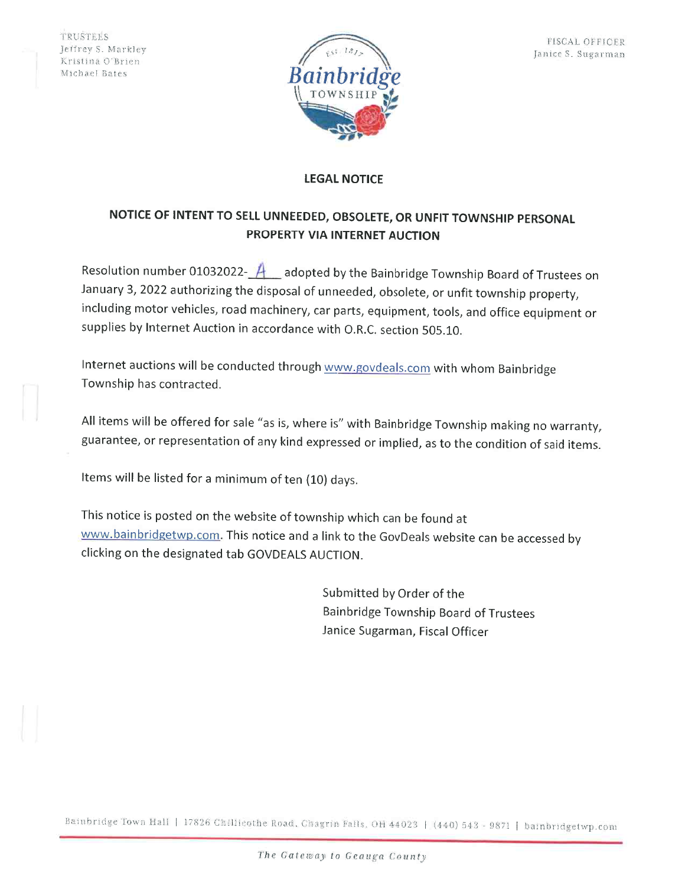

# **LEGAL NOTICE**

# NOTICE OF INTENT TO SELL UNNEEDED, OBSOLETE, OR UNFIT TOWNSHIP PERSONAL PROPERTY VIA INTERNET AUCTION

Resolution number 01032022- $A$  adopted by the Bainbridge Township Board of Trustees on January 3, 2022 authorizing the disposal of unneeded, obsolete, or unfit township property, including motor vehicles, road machinery, car parts, equipment, tools, and office equipment or supplies by Internet Auction in accordance with O.R.C. section 505.10.

Internet auctions will be conducted through www.govdeals.com with whom Bainbridge Township has contracted.

All items will be offered for sale "as is, where is" with Bainbridge Township making no warranty, guarantee, or representation of any kind expressed or implied, as to the condition of said items.

Items will be listed for a minimum of ten (10) days.

This notice is posted on the website of township which can be found at www.bainbridgetwp.com. This notice and a link to the GovDeals website can be accessed by clicking on the designated tab GOVDEALS AUCTION.

> Submitted by Order of the Bainbridge Township Board of Trustees Janice Sugarman, Fiscal Officer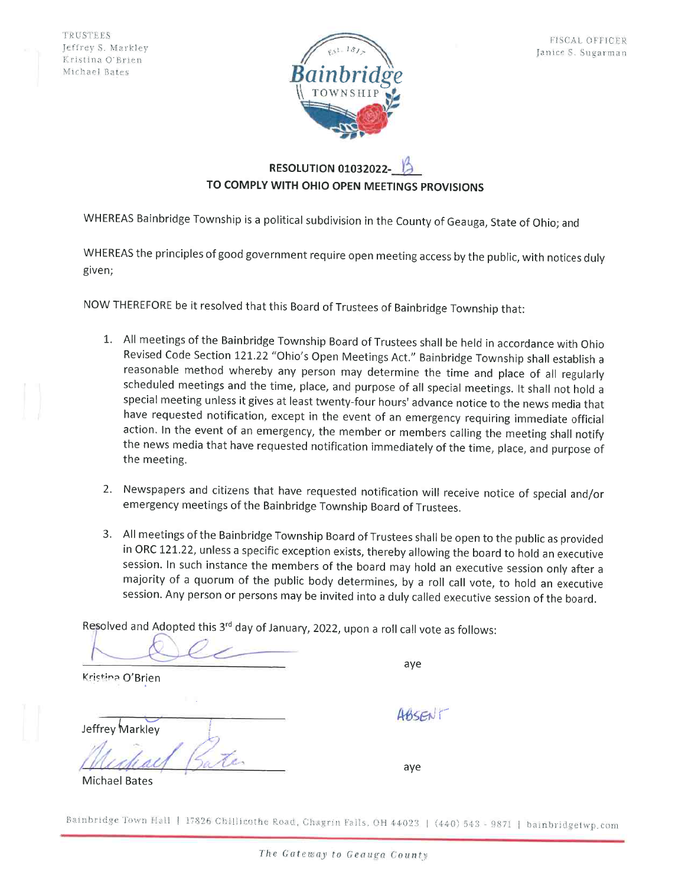

# **RESOLUTION 01032022-**TO COMPLY WITH OHIO OPEN MEETINGS PROVISIONS

WHEREAS Bainbridge Township is a political subdivision in the County of Geauga, State of Ohio; and

WHEREAS the principles of good government require open meeting access by the public, with notices duly given;

NOW THEREFORE be it resolved that this Board of Trustees of Bainbridge Township that:

- 1. All meetings of the Bainbridge Township Board of Trustees shall be held in accordance with Ohio Revised Code Section 121.22 "Ohio's Open Meetings Act." Bainbridge Township shall establish a reasonable method whereby any person may determine the time and place of all regularly scheduled meetings and the time, place, and purpose of all special meetings. It shall not hold a special meeting unless it gives at least twenty-four hours' advance notice to the news media that have requested notification, except in the event of an emergency requiring immediate official action. In the event of an emergency, the member or members calling the meeting shall notify the news media that have requested notification immediately of the time, place, and purpose of the meeting.
- 2. Newspapers and citizens that have requested notification will receive notice of special and/or emergency meetings of the Bainbridge Township Board of Trustees.
- 3. All meetings of the Bainbridge Township Board of Trustees shall be open to the public as provided in ORC 121.22, unless a specific exception exists, thereby allowing the board to hold an executive session. In such instance the members of the board may hold an executive session only after a majority of a quorum of the public body determines, by a roll call vote, to hold an executive session. Any person or persons may be invited into a duly called executive session of the board.

Resolved and Adopted this 3rd day of January, 2022, upon a roll call vote as follows:

Kristina O'Brien

Jeffrey Markley

ABSENT

aye

aye

**Michael Bates** 

Bainbridge Town Hall | 17826 Chillicothe Road, Chagrin Falls, OH 44023 | (440) 543 - 9871 | bainbridgetwp.com

The Gateway to Geauga County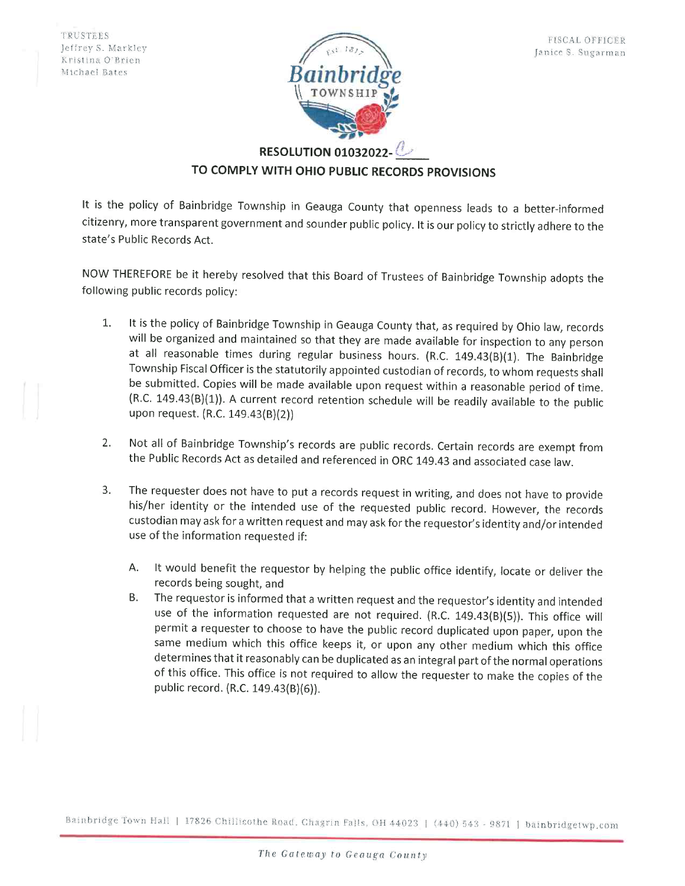

# **RESOLUTION 01032022-**TO COMPLY WITH OHIO PUBLIC RECORDS PROVISIONS

It is the policy of Bainbridge Township in Geauga County that openness leads to a better-informed citizenry, more transparent government and sounder public policy. It is our policy to strictly adhere to the state's Public Records Act.

NOW THEREFORE be it hereby resolved that this Board of Trustees of Bainbridge Township adopts the following public records policy:

- $1.$ It is the policy of Bainbridge Township in Geauga County that, as required by Ohio law, records will be organized and maintained so that they are made available for inspection to any person at all reasonable times during regular business hours. (R.C. 149.43(B)(1). The Bainbridge Township Fiscal Officer is the statutorily appointed custodian of records, to whom requests shall be submitted. Copies will be made available upon request within a reasonable period of time. (R.C. 149.43(B)(1)). A current record retention schedule will be readily available to the public upon request. (R.C. 149.43(B)(2))
- Not all of Bainbridge Township's records are public records. Certain records are exempt from  $2.$ the Public Records Act as detailed and referenced in ORC 149.43 and associated case law.
- The requester does not have to put a records request in writing, and does not have to provide  $3.$ his/her identity or the intended use of the requested public record. However, the records custodian may ask for a written request and may ask for the requestor's identity and/or intended use of the information requested if:
	- It would benefit the requestor by helping the public office identify, locate or deliver the Α. records being sought, and
	- The requestor is informed that a written request and the requestor's identity and intended Β. use of the information requested are not required. (R.C. 149.43(B)(5)). This office will permit a requester to choose to have the public record duplicated upon paper, upon the same medium which this office keeps it, or upon any other medium which this office determines that it reasonably can be duplicated as an integral part of the normal operations of this office. This office is not required to allow the requester to make the copies of the public record. (R.C. 149.43(B)(6)).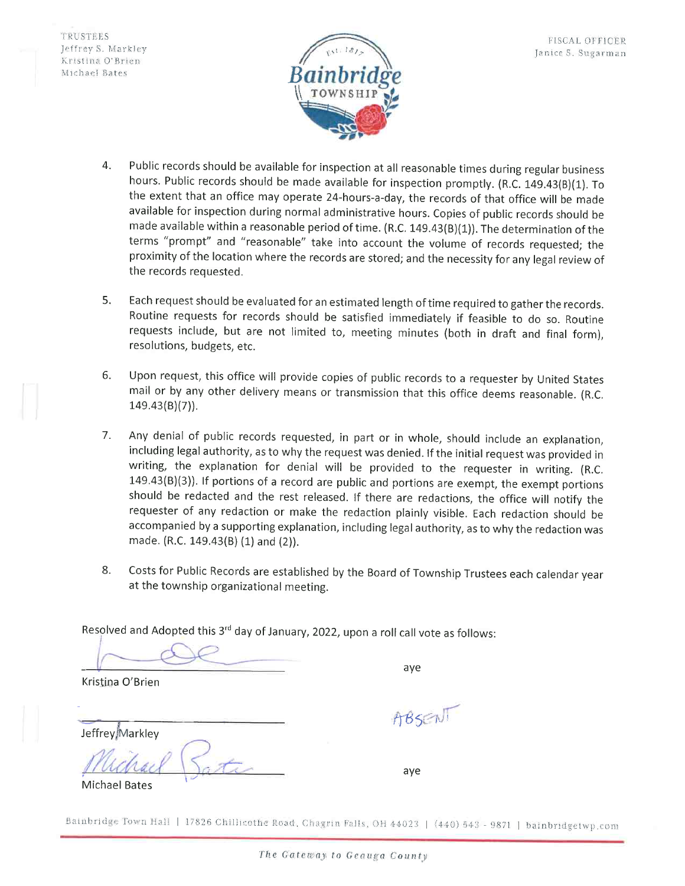

- Public records should be available for inspection at all reasonable times during regular business  $4.$ hours. Public records should be made available for inspection promptly. (R.C. 149.43(B)(1). To the extent that an office may operate 24-hours-a-day, the records of that office will be made available for inspection during normal administrative hours. Copies of public records should be made available within a reasonable period of time. (R.C. 149.43(B)(1)). The determination of the terms "prompt" and "reasonable" take into account the volume of records requested; the proximity of the location where the records are stored; and the necessity for any legal review of the records requested.
- Each request should be evaluated for an estimated length of time required to gather the records. 5. Routine requests for records should be satisfied immediately if feasible to do so. Routine requests include, but are not limited to, meeting minutes (both in draft and final form), resolutions, budgets, etc.
- Upon request, this office will provide copies of public records to a requester by United States 6. mail or by any other delivery means or transmission that this office deems reasonable. (R.C.  $149.43(B)(7)$ ).
- Any denial of public records requested, in part or in whole, should include an explanation, 7. including legal authority, as to why the request was denied. If the initial request was provided in writing, the explanation for denial will be provided to the requester in writing. (R.C.  $149.43(B)(3)$ ). If portions of a record are public and portions are exempt, the exempt portions should be redacted and the rest released. If there are redactions, the office will notify the requester of any redaction or make the redaction plainly visible. Each redaction should be accompanied by a supporting explanation, including legal authority, as to why the redaction was made. (R.C. 149.43(B) (1) and (2)).
- Costs for Public Records are established by the Board of Township Trustees each calendar year 8. at the township organizational meeting.

Resolved and Adopted this 3rd day of January, 2022, upon a roll call vote as follows:

Kristina O'Brien

aye

ABSEN

aye

Jeffrey Markley

**Michael Bates** 

Bainbridge Town Hall | 17826 Chillicothe Road, Chagrin Falls, OH 44023 | (440) 543 - 9871 | bainbridgetwp.com

The Gateway to Geauga County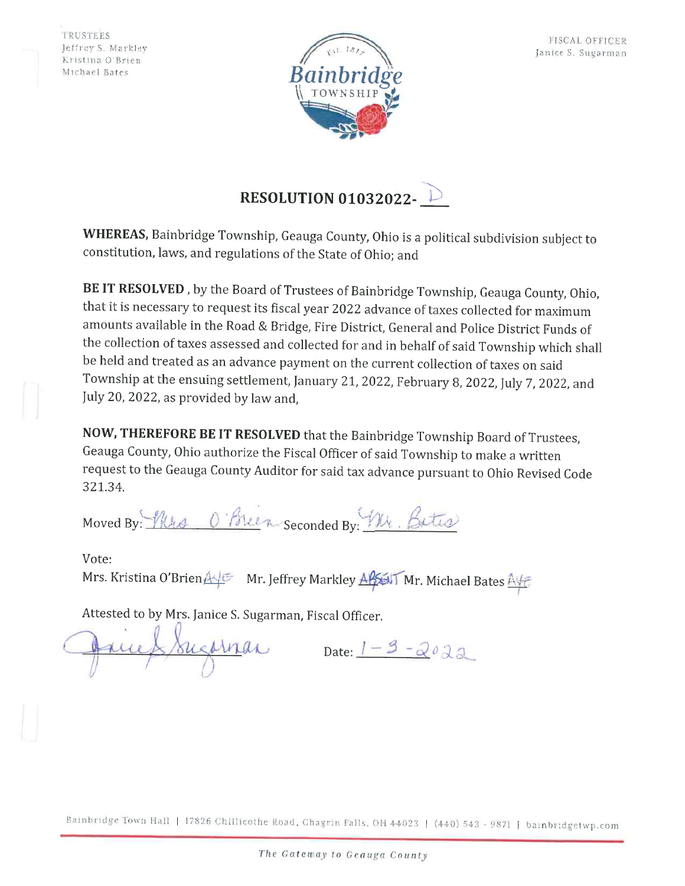

# **RESOLUTION 01032022-**

WHEREAS, Bainbridge Township, Geauga County, Ohio is a political subdivision subject to constitution, laws, and regulations of the State of Ohio; and

BE IT RESOLVED, by the Board of Trustees of Bainbridge Township, Geauga County, Ohio, that it is necessary to request its fiscal year 2022 advance of taxes collected for maximum amounts available in the Road & Bridge, Fire District, General and Police District Funds of the collection of taxes assessed and collected for and in behalf of said Township which shall be held and treated as an advance payment on the current collection of taxes on said Township at the ensuing settlement, January 21, 2022, February 8, 2022, July 7, 2022, and July 20, 2022, as provided by law and,

NOW, THEREFORE BE IT RESOLVED that the Bainbridge Township Board of Trustees, Geauga County, Ohio authorize the Fiscal Officer of said Township to make a written request to the Geauga County Auditor for said tax advance pursuant to Ohio Revised Code 321.34.

Moved By: Who O'Breez Seconded By: W. Betis

Vote: Mrs. Kristina O'Brien Alle Mr. Jeffrey Markley AlsenT Mr. Michael Bates Alle

Attested to by Mrs. Janice S. Sugarman, Fiscal Officer.

inas

Date:  $1 - 3 - 2022$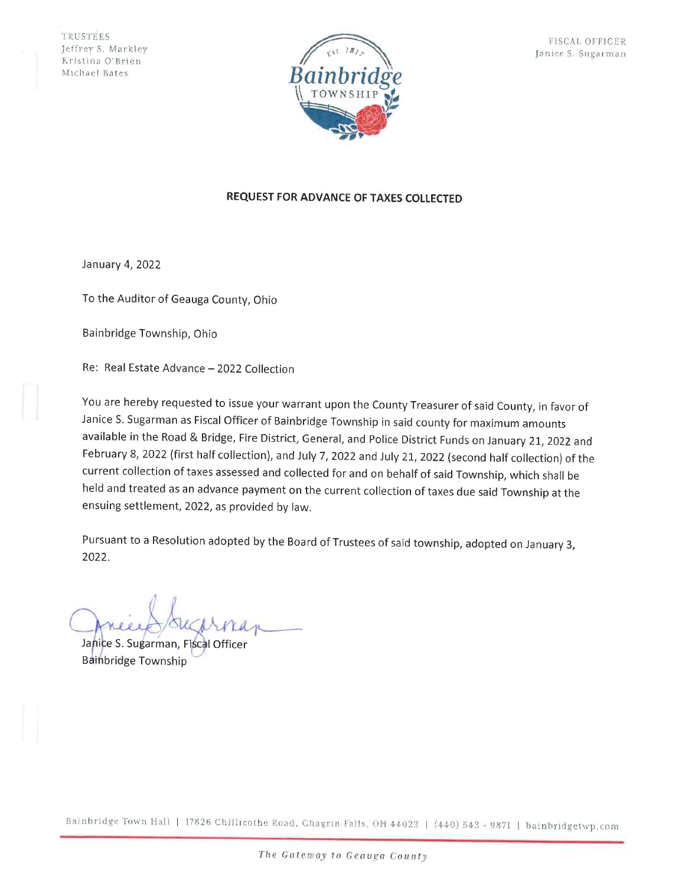

#### REQUEST FOR ADVANCE OF TAXES COLLECTED

January 4, 2022

To the Auditor of Geauga County, Ohio

Bainbridge Township, Ohio

Re: Real Estate Advance - 2022 Collection

You are hereby requested to issue your warrant upon the County Treasurer of said County, in favor of Janice S. Sugarman as Fiscal Officer of Bainbridge Township in said county for maximum amounts available in the Road & Bridge, Fire District, General, and Police District Funds on January 21, 2022 and February 8, 2022 (first half collection), and July 7, 2022 and July 21, 2022 (second half collection) of the current collection of taxes assessed and collected for and on behalf of said Township, which shall be held and treated as an advance payment on the current collection of taxes due said Township at the ensuing settlement, 2022, as provided by law.

Pursuant to a Resolution adopted by the Board of Trustees of said township, adopted on January 3, 2022.

Janice S. Sugarman, Fiscal Officer **Bainbridge Township** 

Bainbridge Town Hall | 17826 Chillicothe Road, Chagrin Falls, OH 44023 | (440) 543 - 9871 | bainbridgetwp.com

The Gateway to Geauga County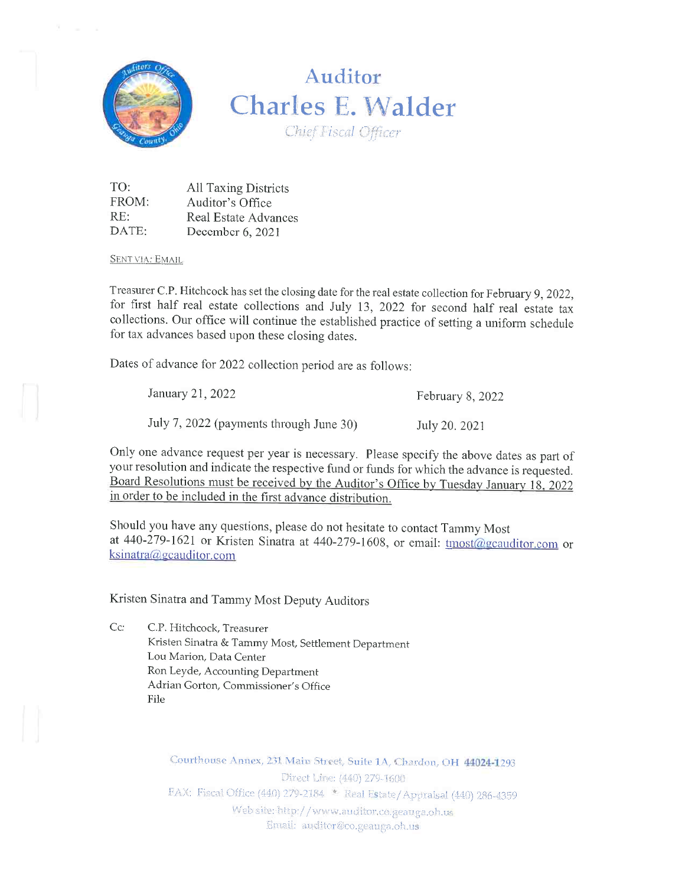

# Auditor **Charles E. Walder** Chief Fiscal Officer

| $\mathrm{TO:}$ | All Taxing Districts        |
|----------------|-----------------------------|
| FROM:          | Auditor's Office            |
| RE:            | <b>Real Estate Advances</b> |
| DATE:          | December 6, 2021            |

#### **SENT VIA: EMAIL**

Treasurer C.P. Hitchcock has set the closing date for the real estate collection for February 9, 2022, for first half real estate collections and July 13, 2022 for second half real estate tax collections. Our office will continue the established practice of setting a uniform schedule for tax advances based upon these closing dates.

Dates of advance for 2022 collection period are as follows:

| January 21, 2022                        | February 8, 2022 |
|-----------------------------------------|------------------|
| July 7, 2022 (payments through June 30) | July 20, 2021    |

Only one advance request per year is necessary. Please specify the above dates as part of your resolution and indicate the respective fund or funds for which the advance is requested. Board Resolutions must be received by the Auditor's Office by Tuesday January 18, 2022 in order to be included in the first advance distribution.

Should you have any questions, please do not hesitate to contact Tammy Most at 440-279-1621 or Kristen Sinatra at 440-279-1608, or email: tmost@gcauditor.com or ksinatra@gcauditor.com

Kristen Sinatra and Tammy Most Deputy Auditors

Cc: C.P. Hitchcock, Treasurer Kristen Sinatra & Tammy Most, Settlement Department Lou Marion, Data Center Ron Leyde, Accounting Department Adrian Gorton, Commissioner's Office File

> Courthouse Annex, 231 Main Street, Suite 1A, Chardon, OH 44024-1293 Direct Line: (440) 279-1600 FAX: Fiscal Office (440) 279-2184 \* Real Estate/Appraisal (440) 286-4359 Web site: http://www.auditor.co.geauga.oh.us Email: auditor@co.geauga.oh.us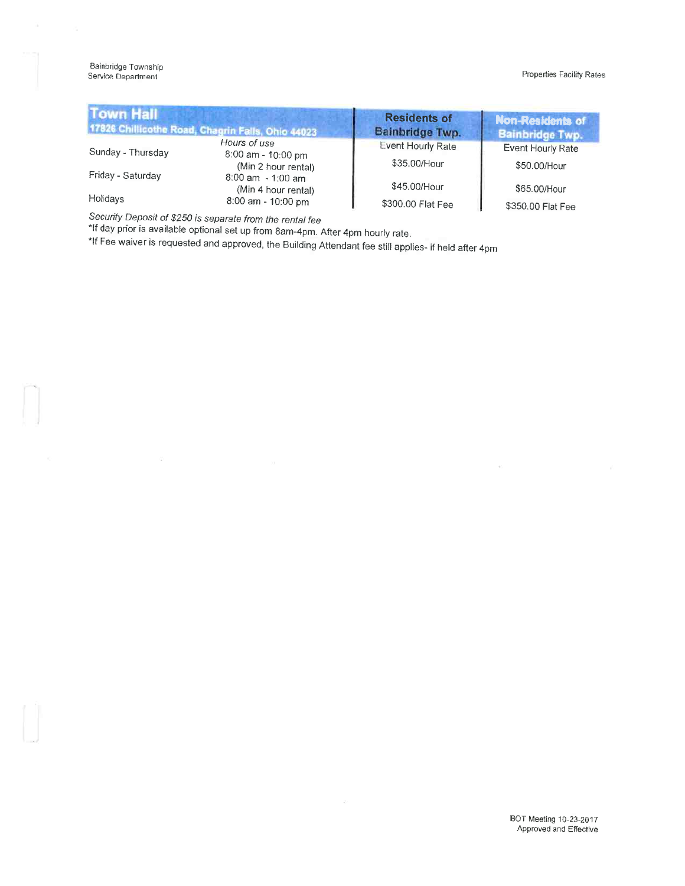| Town Hall         | 17826 Chillicothe Road, Chagrin Falls, Ohio 44023 | <b>Residents of</b><br>Bainbridge Twp. | <b>Non-Residents of</b><br><b>Bainbridge Twp.</b> |
|-------------------|---------------------------------------------------|----------------------------------------|---------------------------------------------------|
| Sunday - Thursday | Hours of use                                      | Event Hourly Rate                      | Event Hourly Rate                                 |
|                   | 8:00 am - 10:00 pm<br>(Min 2 hour rental)         | \$35.00/Hour                           | \$50.00/Hour                                      |
| Friday - Saturday | $8:00$ am $-1:00$ am                              | \$45,00/Hour                           | \$65,00/Hour                                      |
| Holidays          | (Min 4 hour rental)<br>8:00 am - 10:00 pm         | \$300.00 Flat Fee                      | \$350.00 Flat Fee                                 |
|                   |                                                   |                                        |                                                   |

 $\overline{G}$ 

Security Deposit of \$250 is separate from the rental fee

\*If day prior is available optional set up from 8am-4pm. After 4pm hourly rate.

\*If Fee waiver is requested and approved, the Building Attendant fee still applies- if held after 4pm

 $\mathbf{y}$  ).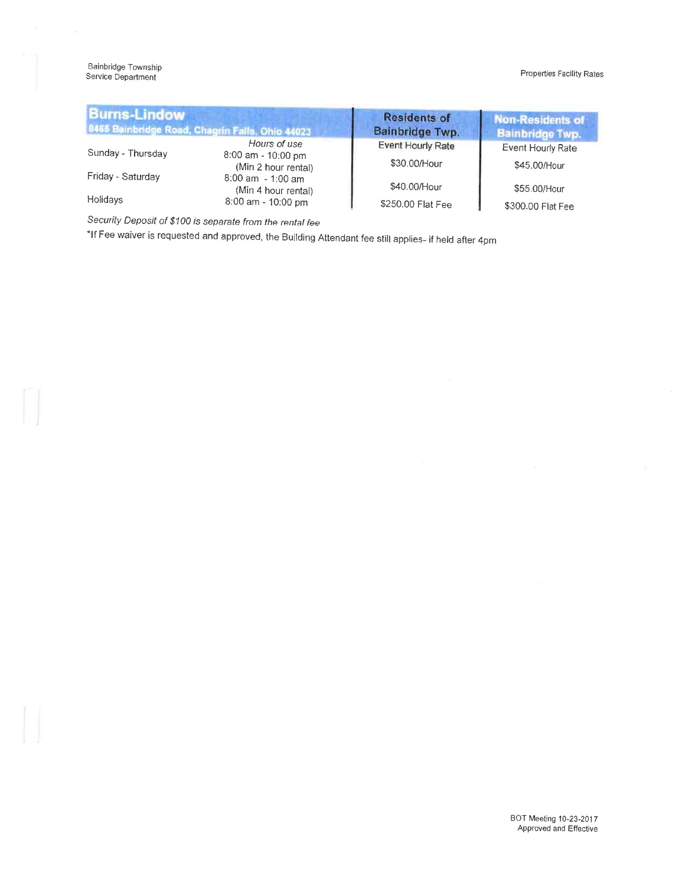#### Properties Facility Rates

| <b>Burns-Lindow</b> | 8465 Bainbridge Road, Chagrin Falls, Ohio 44023 | <b>Residents of</b><br><b>Bainbridge Twp.</b> | <b>Non-Residents of</b><br><b>Bainbridge Twp.</b> |
|---------------------|-------------------------------------------------|-----------------------------------------------|---------------------------------------------------|
| Sunday - Thursday   | Hours of use                                    | <b>Event Hourly Rate</b>                      | Event Hourly Rate                                 |
|                     | 8:00 am - 10:00 pm<br>(Min 2 hour rental)       | \$30.00/Hour                                  | \$45,00/Hour                                      |
| Friday - Saturday   | $8:00$ am $-1:00$ am<br>(Min 4 hour rental)     | \$40.00/Hour                                  | \$55.00/Hour                                      |
| Holidays            | 8:00 am - 10:00 pm                              | \$250.00 Flat Fee                             | \$300.00 Flat Fee                                 |

Security Deposit of \$100 is separate from the rental fee

\*If Fee waiver is requested and approved, the Building Attendant fee still applies- if held after 4pm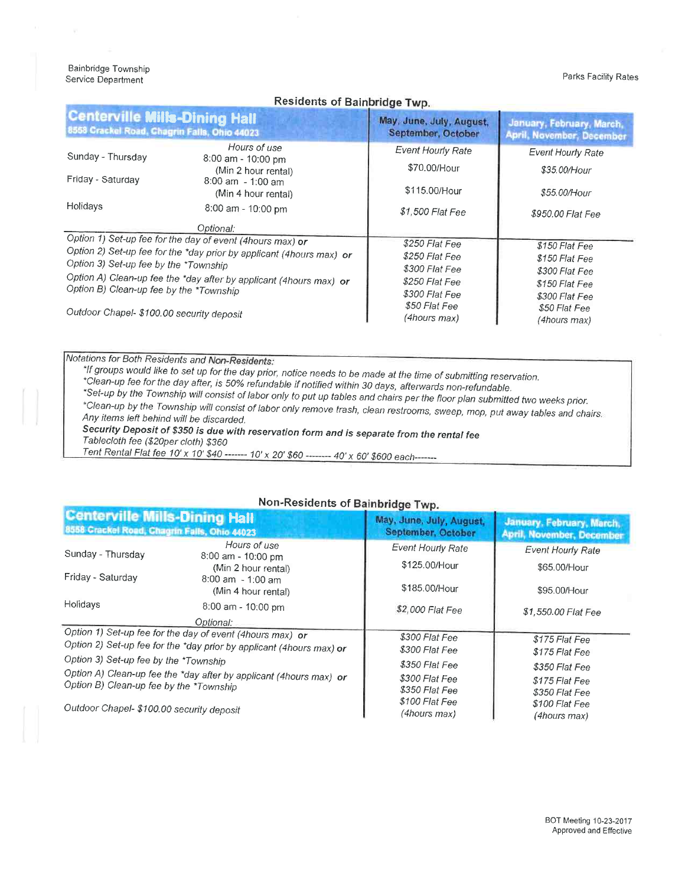| <b>Centerville Mills-Dining Hall</b><br>8558 Crackel Road, Chagrin Falls, Ohio 44023 |                                             |                                                |                                                        |
|--------------------------------------------------------------------------------------|---------------------------------------------|------------------------------------------------|--------------------------------------------------------|
|                                                                                      |                                             | May, June, July, August,<br>September, October | January, February, March,<br>April, November, December |
| Sunday - Thursday                                                                    | Hours of use                                | <b>Event Hourly Rate</b>                       | Event Hourly Rate                                      |
|                                                                                      | $8:00$ am - 10:00 pm<br>(Min 2 hour rental) | \$70.00/Hour                                   | \$35.00/Hour                                           |
| Friday - Saturday                                                                    | 8:00 am - 1:00 am<br>(Min 4 hour rental)    | \$115,00/Hour                                  | \$55.00/Hour                                           |
| Holidays                                                                             | 8:00 am - 10:00 pm                          | \$1,500 Flat Fee                               | \$950.00 Flat Fee                                      |
|                                                                                      | Optional:                                   |                                                |                                                        |
| Option 1) Set-up fee for the day of event (4hours max) or                            |                                             | \$250 Flat Fee                                 | \$150 Flat Fee                                         |
| Option 2) Set-up fee for the *day prior by applicant (4hours max) or                 |                                             | \$250 Flat Fee                                 | \$150 Flat Fee                                         |
| Option 3) Set-up fee by the *Township                                                |                                             | \$300 Flat Fee                                 | \$300 Flat Fee                                         |
| Option A) Clean-up fee the *day after by applicant (4hours max) or                   |                                             | \$250 Flat Fee                                 | \$150 Flat Fee                                         |
| Option B) Clean-up fee by the *Township                                              |                                             | \$300 Flat Fee                                 | \$300 Flat Fee                                         |
| Outdoor Chapel- \$100.00 security deposit                                            |                                             | \$50 Flat Fee                                  | \$50 Flat Fee                                          |
|                                                                                      |                                             | (4hours max)                                   | (4hours max)                                           |

## Residents of Bainbridge Twp.

Notations for Both Residents and Non-Residents:

\*If groups would like to set up for the day prior, notice needs to be made at the time of submitting reservation.

"Clean-up fee for the day after, is 50% refundable if notified within 30 days, afterwards non-refundable.

\*Set-up by the Township will consist of labor only to put up tables and chairs per the floor plan submitted two weeks prior.

\*Clean-up by the Township will consist of labor only remove trash, clean restrooms, sweep, mop, put away tables and chairs. Any items left behind will be discarded.

Security Deposit of \$350 is due with reservation form and is separate from the rental fee

Tablecloth fee (\$20per cloth) \$360

Tent Rental Flat fee 10' x 10' \$40 ------- 10' x 20' \$60 ------- 40' x 60' \$600 each-------

#### Non-Residents of Bainbridge Twp.

| <b>Centerville Mills-Dining Hall</b><br>8558 Crackel Road, Chagrin Falls, Ohio 44023 |                                                                    | May, June, July, August,<br>September, October | January, February, March,<br><b>April, November, December</b> |
|--------------------------------------------------------------------------------------|--------------------------------------------------------------------|------------------------------------------------|---------------------------------------------------------------|
| Sunday - Thursday                                                                    | Hours of use<br>8:00 am - 10:00 pm                                 | <b>Event Hourly Rate</b>                       | <b>Event Hourly Rate</b>                                      |
|                                                                                      | (Min 2 hour rental)                                                | \$125.00/Hour                                  | \$65.00/Hour                                                  |
| Friday - Saturday                                                                    | $8:00$ am $-1:00$ am<br>(Min 4 hour rental)                        | \$185.00/Hour                                  | \$95.00/Hour                                                  |
| Holidays                                                                             | $8:00$ am - 10:00 pm                                               | \$2,000 Flat Fee                               | \$1,550.00 Flat Fee                                           |
|                                                                                      | Optional:                                                          |                                                |                                                               |
| Option 1) Set-up fee for the day of event (4hours max) or                            |                                                                    | \$300 Flat Fee                                 | \$175 Flat Fee                                                |
| Option 2) Set-up fee for the *day prior by applicant (4hours max) or                 |                                                                    | \$300 Flat Fee                                 | \$175 Flat Fee                                                |
| Option 3) Set-up fee by the *Township                                                |                                                                    | \$350 Flat Fee                                 | \$350 Flat Fee                                                |
| Option B) Clean-up fee by the *Township                                              | Option A) Clean-up fee the *day after by applicant (4hours max) or | \$300 Flat Fee<br>\$350 Flat Fee               | \$175 Flat Fee<br>\$350 Flat Fee                              |
| Outdoor Chapel- \$100.00 security deposit                                            |                                                                    | \$100 Flat Fee<br>(4hours max)                 | \$100 Flat Fee<br>(4hours max)                                |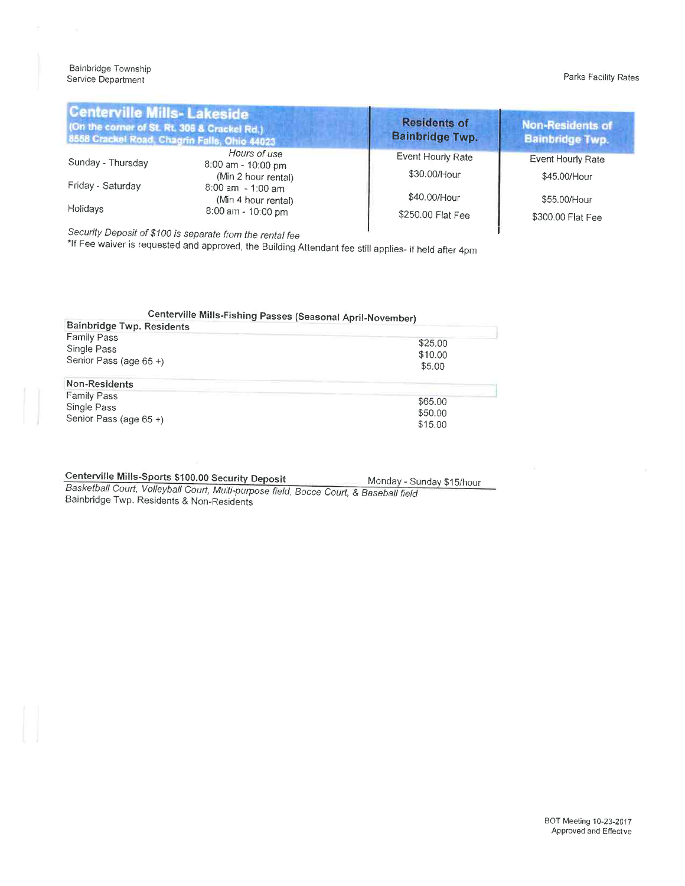| <b>Centerville Mills-Lakeside</b><br>(On the corner of St. Rt. 306 & Crackel Rd.)<br>8558 Crackel Road, Chagrin Falls, Ohio 44023 |                                                         | <b>Residents of</b><br><b>Bainbridge Twp.</b> | <b>Non-Residents of</b><br><b>Bainbridge Twp.</b> |
|-----------------------------------------------------------------------------------------------------------------------------------|---------------------------------------------------------|-----------------------------------------------|---------------------------------------------------|
| Sunday - Thursday                                                                                                                 | Hours of use<br>8:00 am - 10:00 pm                      | Event Hourly Rate                             | Event Hourly Rate                                 |
|                                                                                                                                   | (Min 2 hour rental)                                     | \$30.00/Hour                                  | \$45.00/Hour                                      |
| Friday - Saturday                                                                                                                 | 8:00 am - 1:00 am                                       | \$40.00/Hour                                  | \$55.00/Hour                                      |
| Holidays                                                                                                                          | (Min 4 hour rental)<br>8:00 am - 10:00 pm               | \$250.00 Flat Fee                             | \$300.00 Flat Fee                                 |
|                                                                                                                                   | Security Depart of $8100$ is concrete from the security |                                               |                                                   |

Security Deposit of \$100 is separate from the rental fee

\*If Fee waiver is requested and approved, the Building Attendant fee still applies- if held after 4pm

| Centerville Mills-Fishing Passes (Seasonal April-November) |                              |
|------------------------------------------------------------|------------------------------|
| <b>Bainbridge Twp. Residents</b>                           |                              |
| Family Pass<br>Single Pass<br>Senior Pass (age 65+)        | \$25.00<br>\$10.00<br>\$5.00 |
| Non-Residents                                              |                              |
| <b>Family Pass</b>                                         | \$65.00                      |
| Single Pass                                                | \$50.00                      |
| Senior Pass (age 65+)                                      | \$15.00                      |

# Centerville Mills-Sports \$100.00 Security Deposit

Monday - Sunday \$15/hour

Basketball Court, Volleyball Court, Multi-purpose field, Bocce Court, & Baseball field Bainbridge Twp. Residents & Non-Residents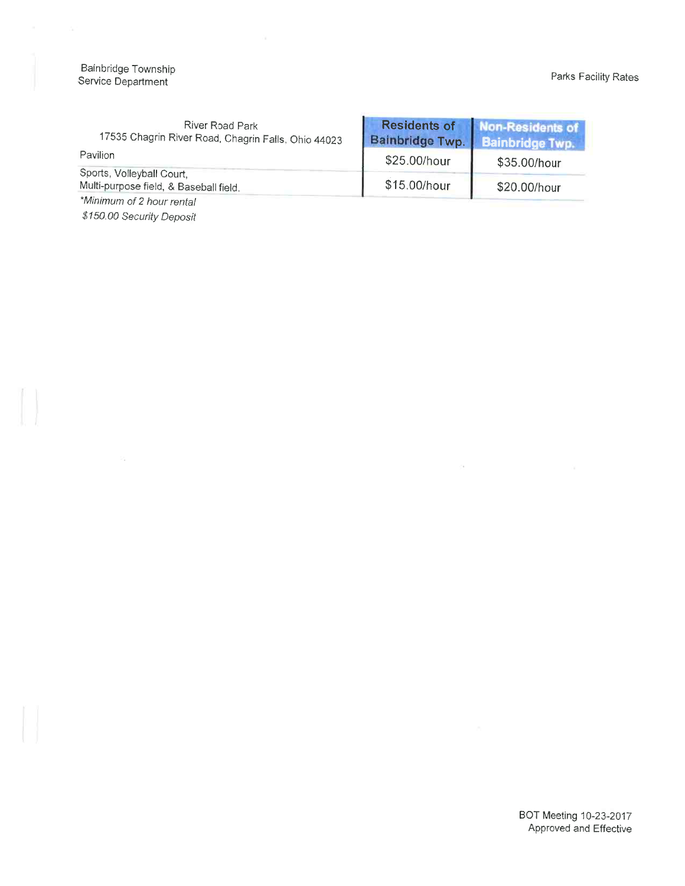Bainbridge Township Service Department

| River Road Park<br>17535 Chagrin River Road, Chagrin Falls, Ohio 44023 | <b>Residents of</b><br><b>Bainbridge Twp.</b> | <b>Non-Residents of</b><br><b>Bainbridge Twp.</b> |
|------------------------------------------------------------------------|-----------------------------------------------|---------------------------------------------------|
| Pavilion                                                               | \$25.00/hour                                  | \$35.00/hour                                      |
| Sports, Volleyball Court,<br>Multi-purpose field, & Baseball field.    | \$15.00/hour                                  | \$20.00/hour                                      |
| *Minimum of 2 hour rental                                              |                                               |                                                   |

\$150.00 Security Deposit

 $\Omega$  . The set of the set of the  $\Omega$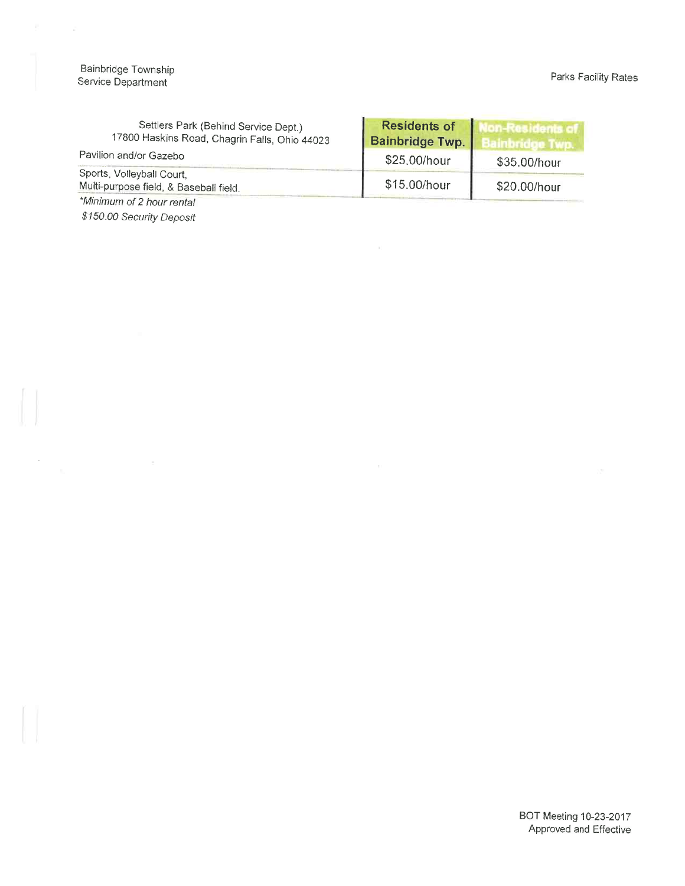Bainbridge Township Service Department

 $\bar{\chi}$ 

| Settlers Park (Behind Service Dept.)<br>17800 Haskins Road, Chagrin Falls, Ohio 44023 | <b>Residents of</b><br><b>Bainbridge Twp.</b> |              |
|---------------------------------------------------------------------------------------|-----------------------------------------------|--------------|
| Pavilion and/or Gazebo                                                                | \$25,00/hour                                  | \$35.00/hour |
| Sports, Volleyball Court,<br>Multi-purpose field, & Baseball field.                   | \$15.00/hour                                  | \$20.00/hour |
| *Minimum of 2 hour rental                                                             |                                               |              |

\$150.00 Security Deposit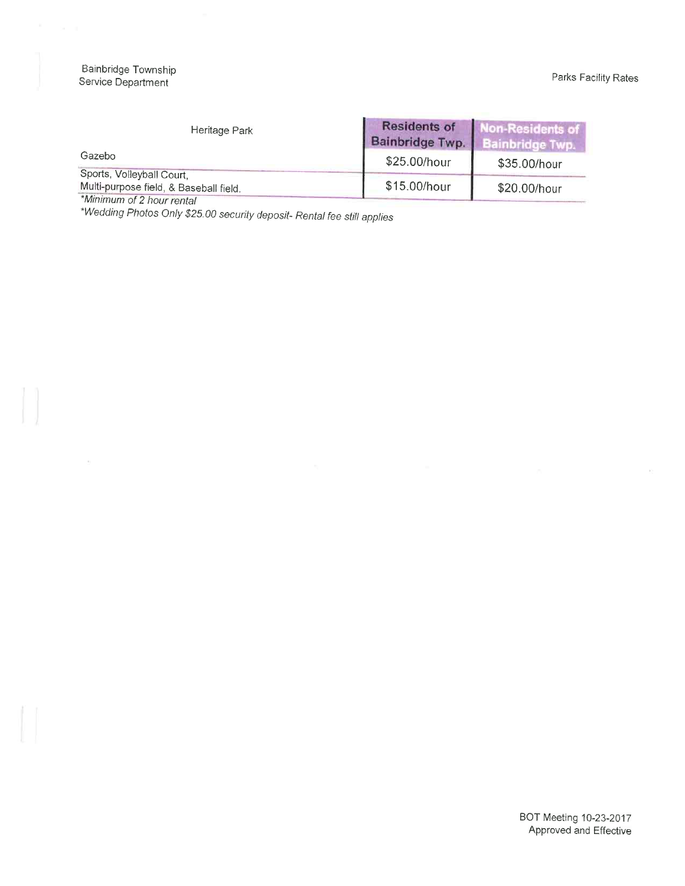| Heritage Park                                                       | <b>Residents of</b><br>Bainbridge Twp. | ion-Residents of |
|---------------------------------------------------------------------|----------------------------------------|------------------|
| Gazebo                                                              | \$25.00/hour                           | \$35.00/hour     |
| Sports, Volleyball Court,<br>Multi-purpose field, & Baseball field. | \$15.00/hour                           | \$20.00/hour     |
| *Minimum of 2 hour rental                                           |                                        |                  |

\*Wedding Photos Only \$25.00 security deposit- Rental fee still applies

BOT Meeting 10-23-2017 Approved and Effective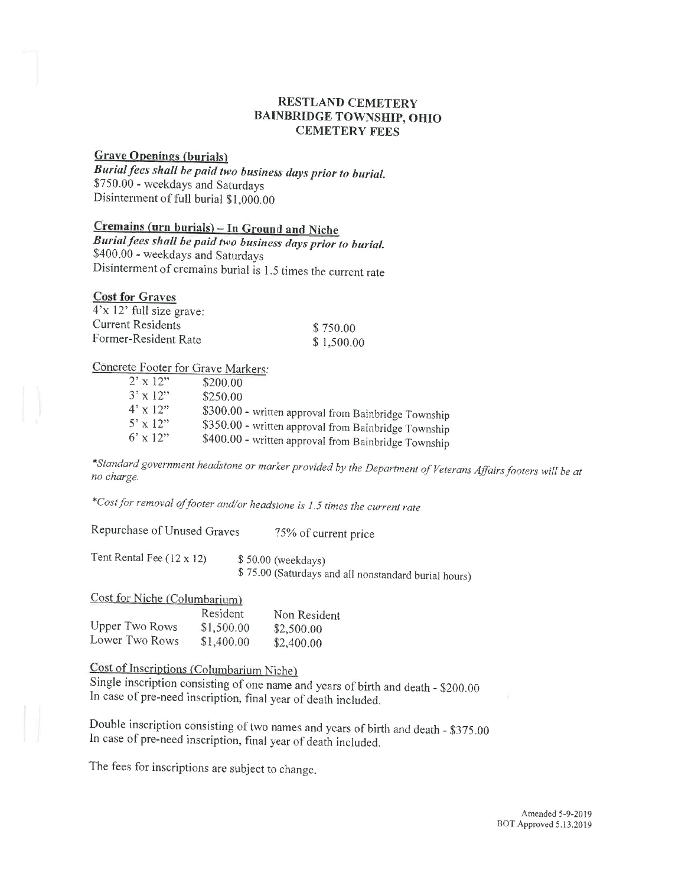#### **RESTLAND CEMETERY BAINBRIDGE TOWNSHIP, OHIO CEMETERY FEES**

## **Grave Openings (burials)**

Burial fees shall be paid two business days prior to burial. \$750.00 - weekdays and Saturdays Disinterment of full burial \$1,000.00

# Cremains (urn burials) - In Ground and Niche

Burial fees shall be paid two business days prior to burial. \$400.00 - weekdays and Saturdays Disinterment of cremains burial is 1.5 times the current rate

#### **Cost for Graves**

| $4'x 12'$ full size grave: |            |
|----------------------------|------------|
| Current Residents          | \$750.00   |
| Former-Resident Rate       | \$1,500.00 |

#### Concrete Footer for Grave Markers:

| $2' \times 12''$ | \$200.00                                             |
|------------------|------------------------------------------------------|
| $3' \times 12''$ | \$250.00                                             |
| $4' \times 12''$ | \$300.00 - written approval from Bainbridge Township |
| $5' \times 12''$ | \$350.00 - written approval from Bainbridge Township |
| $6' \times 12''$ | \$400.00 - written approval from Bainbridge Township |

\*Standard government headstone or marker provided by the Department of Veterans Affairs footers will be at no charge.

\*Cost for removal of footer and/or headstone is 1.5 times the current rate

Repurchase of Unused Graves 75% of current price Tent Rental Fee  $(12 \times 12)$ 

\$50.00 (weekdays) \$75.00 (Saturdays and all nonstandard burial hours)

Cost for Niche (Columbarium)

|                | Resident   | Non Resident |
|----------------|------------|--------------|
| Upper Two Rows | \$1,500.00 | \$2,500.00   |
| Lower Two Rows | \$1,400.00 | \$2,400.00   |

Cost of Inscriptions (Columbarium Niche)

Single inscription consisting of one name and years of birth and death - \$200.00 In case of pre-need inscription, final year of death included.

Double inscription consisting of two names and years of birth and death - \$375.00 In case of pre-need inscription, final year of death included.

The fees for inscriptions are subject to change.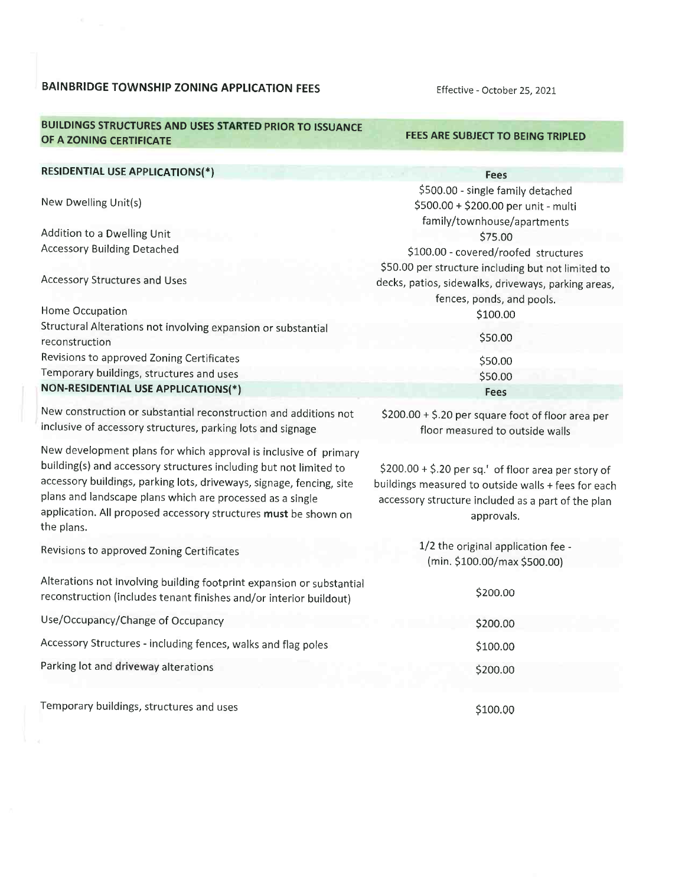## **BAINBRIDGE TOWNSHIP ZONING APPLICATION FEES**

#### BUILDINGS STRUCTURES AND USES STARTED PRIOR TO ISSUANCE OF A ZONING CERTIFICATE

inclusive of accessory structures, parking lots and signage

New development plans for which approval is inclusive of primary building(s) and accessory structures including but not limited to accessory buildings, parking lots, driveways, signage, fencing, site plans and landscape plans which are processed as a single application. All proposed accessory structures must be shown on the plans.

Revisions to approved Zoning Certificates

Alterations not involving building footprint expansion or substantial reconstruction (includes tenant finishes and/or interior buildout)

Use/Occupancy/Change of Occupancy Accessory Structures - including fences, walks and flag poles Parking lot and driveway alterations

Temporary buildings, structures and uses

floor measured to outside walls

\$200.00 + \$.20 per sq.' of floor area per story of buildings measured to outside walls + fees for each accessory structure included as a part of the plan approvals.

> 1/2 the original application fee -(min. \$100.00/max \$500.00)

> > \$200.00

\$200.00

\$100.00

\$200.00

\$100.00

| FEES ARE SUBJECT TO BEING TRIPLED |  |
|-----------------------------------|--|
|-----------------------------------|--|

| <b>RESIDENTIAL USE APPLICATIONS(*)</b>                           | <b>Fees</b>                                         |
|------------------------------------------------------------------|-----------------------------------------------------|
|                                                                  | \$500.00 - single family detached                   |
| New Dwelling Unit(s)                                             | \$500.00 + \$200.00 per unit - multi                |
| Addition to a Dwelling Unit                                      | family/townhouse/apartments                         |
|                                                                  | \$75.00                                             |
| <b>Accessory Building Detached</b>                               | \$100.00 - covered/roofed structures                |
|                                                                  | \$50.00 per structure including but not limited to  |
| Accessory Structures and Uses                                    | decks, patios, sidewalks, driveways, parking areas, |
|                                                                  | fences, ponds, and pools.                           |
| Home Occupation                                                  | \$100.00                                            |
| Structural Alterations not involving expansion or substantial    |                                                     |
| reconstruction                                                   | \$50.00                                             |
| Revisions to approved Zoning Certificates                        | \$50.00                                             |
| Temporary buildings, structures and uses                         | \$50.00                                             |
| NON-RESIDENTIAL USE APPLICATIONS(*)                              | <b>Fees</b>                                         |
| New construction or substantial reconstruction and additions not | $$200.00 + $.20$ per square foot of floor area per  |

Effective - October 25, 2021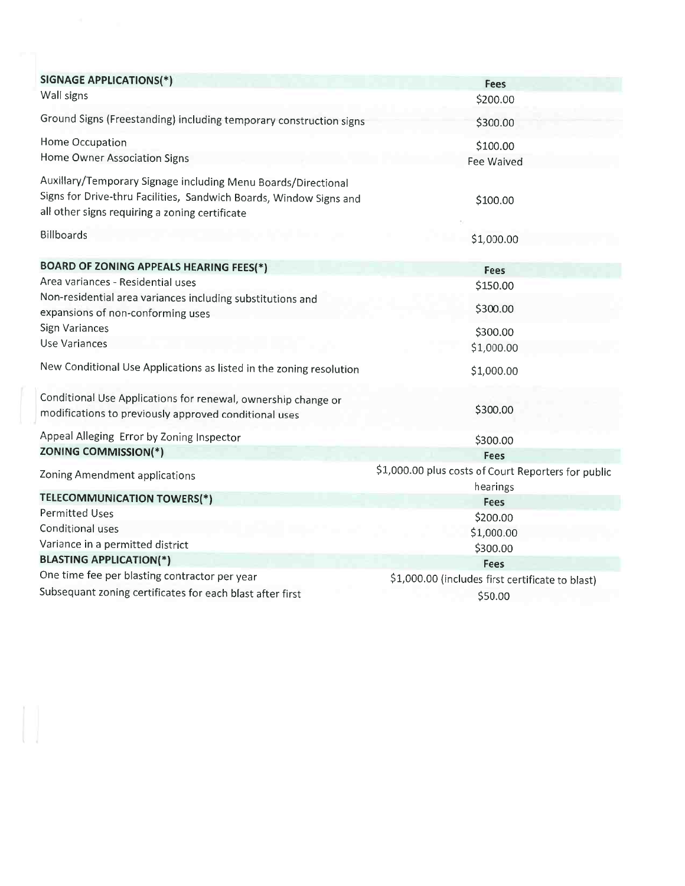| <b>SIGNAGE APPLICATIONS(*)</b>                                                                                                                                                        | Fees                                                            |
|---------------------------------------------------------------------------------------------------------------------------------------------------------------------------------------|-----------------------------------------------------------------|
| Wall signs                                                                                                                                                                            | \$200.00                                                        |
| Ground Signs (Freestanding) including temporary construction signs                                                                                                                    | \$300.00                                                        |
| Home Occupation                                                                                                                                                                       | \$100.00                                                        |
| Home Owner Association Signs                                                                                                                                                          | Fee Waived                                                      |
| Auxillary/Temporary Signage including Menu Boards/Directional<br>Signs for Drive-thru Facilities, Sandwich Boards, Window Signs and<br>all other signs requiring a zoning certificate | \$100.00                                                        |
| Billboards                                                                                                                                                                            | \$1,000.00                                                      |
| <b>BOARD OF ZONING APPEALS HEARING FEES(*)</b>                                                                                                                                        | Fees                                                            |
| Area variances - Residential uses                                                                                                                                                     | \$150.00                                                        |
| Non-residential area variances including substitutions and<br>expansions of non-conforming uses                                                                                       | \$300.00                                                        |
| <b>Sign Variances</b>                                                                                                                                                                 | \$300.00                                                        |
| Use Variances                                                                                                                                                                         | \$1,000.00                                                      |
| New Conditional Use Applications as listed in the zoning resolution                                                                                                                   | \$1,000.00                                                      |
| Conditional Use Applications for renewal, ownership change or<br>modifications to previously approved conditional uses                                                                | \$300.00                                                        |
| Appeal Alleging Error by Zoning Inspector                                                                                                                                             | \$300.00                                                        |
| <b>ZONING COMMISSION(*)</b>                                                                                                                                                           | Fees                                                            |
| Zoning Amendment applications                                                                                                                                                         | \$1,000.00 plus costs of Court Reporters for public<br>hearings |
| TELECOMMUNICATION TOWERS(*)                                                                                                                                                           | Fees                                                            |
| <b>Permitted Uses</b>                                                                                                                                                                 | \$200.00                                                        |
| Conditional uses                                                                                                                                                                      | \$1,000.00                                                      |
| Variance in a permitted district                                                                                                                                                      | \$300.00                                                        |
| <b>BLASTING APPLICATION(*)</b>                                                                                                                                                        | Fees                                                            |
| One time fee per blasting contractor per year                                                                                                                                         | \$1,000.00 (includes first certificate to blast)                |
| Subsequant zoning certificates for each blast after first                                                                                                                             | \$50.00                                                         |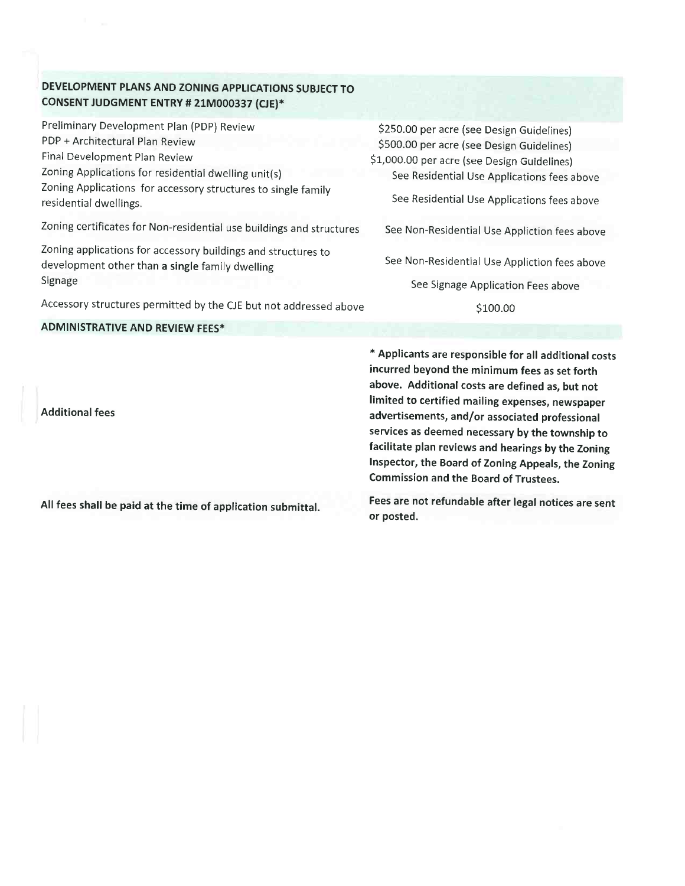## DEVELOPMENT PLANS AND ZONING APPLICATIONS SUBJECT TO CONSENT JUDGMENT ENTRY # 21M000337 (CJE)\*

Preliminary Development Plan (PDP) Review \$250.00 per acre (see Design Guidelines) PDP + Architectural Plan Review \$500.00 per acre (see Design Guidelines) Final Development Plan Review \$1,000.00 per acre (see Design Guidelines) Zoning Applications for residential dwelling unit(s) See Residential Use Applications fees above Zoning Applications for accessory structures to single family See Residential Use Applications fees above residential dwellings. Zoning certificates for Non-residential use buildings and structures See Non-Residential Use Appliction fees above Zoning applications for accessory buildings and structures to See Non-Residential Use Appliction fees above development other than a single family dwelling Signage See Signage Application Fees above

Accessory structures permitted by the CJE but not addressed above

#### **ADMINISTRATIVE AND REVIEW FEES\***

**Additional fees** 

All fees shall be paid at the time of application submittal.

\* Applicants are responsible for all additional costs incurred beyond the minimum fees as set forth above. Additional costs are defined as, but not limited to certified mailing expenses, newspaper advertisements, and/or associated professional services as deemed necessary by the township to facilitate plan reviews and hearings by the Zoning Inspector, the Board of Zoning Appeals, the Zoning **Commission and the Board of Trustees.** 

\$100.00

Fees are not refundable after legal notices are sent or posted.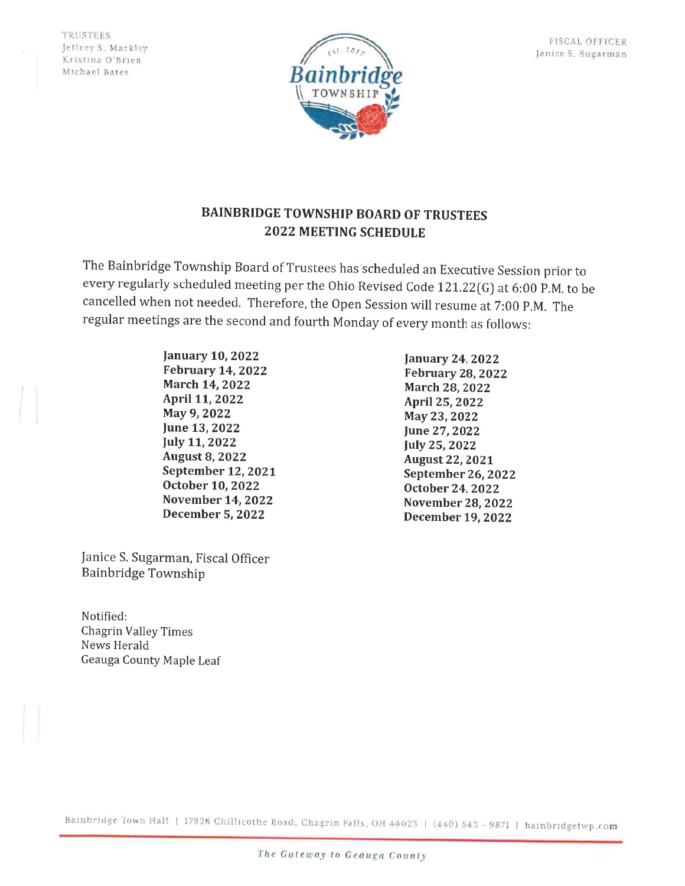

# **BAINBRIDGE TOWNSHIP BOARD OF TRUSTEES 2022 MEETING SCHEDULE**

The Bainbridge Township Board of Trustees has scheduled an Executive Session prior to every regularly scheduled meeting per the Ohio Revised Code 121.22(G) at 6:00 P.M. to be cancelled when not needed. Therefore, the Open Session will resume at 7:00 P.M. The regular meetings are the second and fourth Monday of every month as follows:

> **January 10, 2022 February 14, 2022** March 14, 2022 April 11, 2022 May 9, 2022 June 13, 2022 July 11, 2022 **August 8, 2022** September 12, 2021 October 10, 2022 **November 14, 2022 December 5, 2022**

Janice S. Sugarman, Fiscal Officer Bainbridge Township

Notified: **Chagrin Valley Times** News Herald Geauga County Maple Leaf **January 24, 2022 February 28, 2022** March 28, 2022 April 25, 2022 May 23, 2022 June 27, 2022 July 25, 2022 **August 22, 2021 September 26, 2022 October 24, 2022 November 28, 2022 December 19, 2022** 

Bainbridge Town Hall | 17826 Chillicothe Road, Chagrin Falls, OH 44023 | (440) 543 - 9871 | bainbridgetwp.com

The Gateway to Geauga County